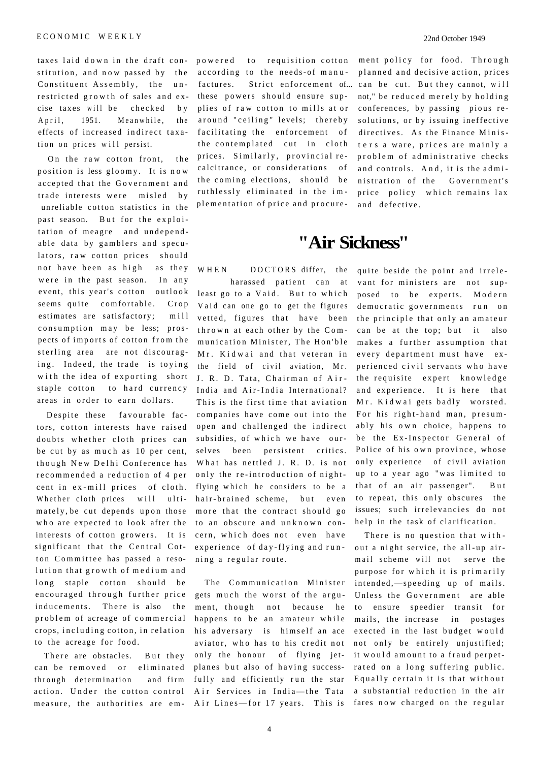taxes laid down in the draft con- powered to requisition cotton stitution, and now passed by the according to the needs-of manu-Constituent Assembly, the unrestricted growth of sales and excise taxes will be checked by April. 1951. Meanwhile, the effects of increased indirect taxation on prices will persist.

On the raw cotton front, the position is less gloomy. It is now accepted that the Government and trade interests were misled by unreliable cotton statistics in the past season. But for the exploitation of meagre and undependable data by gamblers and speculators, raw cotton prices should not have been as high as they were in the past season. In any event, this year's cotton outlook seems quite comfortable. Crop estimates are satisfactory; mill consumption may be less; prospects of imports of cotton from the sterling area are not discouraging. Indeed, the trade is toying with the idea of exporting short staple cotton to hard currency areas in order to earn dollars.

Despite these favourable factors, cotton interests have raised doubts whether cloth prices can be cut by as much as 10 per cent, though New Delhi Conference has recommended a reduction of 4 per cent in ex-mill prices of cloth. Whether cloth prices will ultimately, be cut depends upon those who are expected to look after the interests of cotton growers. It is significant that the Central Cotton Committee has passed a resolution that growth of medium and long staple cotton should be encouraged through further price inducements. There is also the problem of acreage of commercial crops, including cotton, in relation to the acreage for food.

There are obstacles. But they can be removed or eliminated through determination and firm action. Under the cotton control

these powers should ensure supplies of raw cotton to mills at or around "ceiling" levels; thereby facilitating the enforcement of the contemplated cut in cloth prices. Similarly, provincial recalcitrance, or considerations of the coming elections, should be ruthlessly eliminated in the implementation of price and procure-

ment policy for food. Through planned and decisive action, prices factures. Strict enforcement of... can be cut. But they cannot, will not," be reduced merely by holding conferences, by passing pious resolutions, or by issuing ineffective directives. As the Finance Ministers a ware, prices are mainly a problem of administrative checks and controls. And, it is the administration of the Government's price policy which remains lax and defective.

## **"Air Sickness''**

harassed patient can at least go to a Vaid. But to which Vaid can one go to get the figures vetted, figures that have been thrown at each other by the Communication Minister, The Hon'ble M<sub>r</sub>. Kidwai and that veteran in the field of civil aviation, Mr. J. R. D. Tata, Chairman of Air-India and Air-India International? This is the first time that aviation companies have come out into the open and challenged the indirect subsidies, of which we have ourselves been persistent critics. What has nettled J. R. D. is not only the re-introduction of nightflying which he considers to be a hair-brained scheme, but even more that the contract should go to an obscure and unknown concern, which does not even have experience of day-flying and running a regular route.

measure, the authorities are em- Air Lines—for 17 years. This is fares now charged on the regular The Communication Minister gets much the worst of the argument, though not because he happens to be an amateur while his adversary is himself an ace aviator, who has to his credit not only the honour of flying jetplanes but also of having successfully and efficiently run the star Air Services in India—the Tata

WHEN DOCTORS differ, the quite beside the point and irrelevant for ministers are not supposed to be experts. Modern democratic governments run on the principle that only an amateur can be at the top; but it also makes a further assumption that every department must have experienced civil servants who have the requisite expert knowledge and experience. It is here that Mr. Kidwai gets badly worsted. For his right-hand man, presumably his own choice, happens to be the Ex-Inspector General of Police of his own province, whose only experience of civil aviation up to a year ago "was limited to that of an air passenger". But to repeat, this only obscures the issues; such irrelevancies do not help in the task of clarification.

> There is no question that without a night service, the all-up airmail scheme will not serve the purpose for which it is primarily intended,—speeding up of mails. Unless the Government are able to ensure speedier transit for mails, the increase in postages exected in the last budget would not only be entirely unjustified; it would amount to a fraud perpetrated on a long suffering public. Equally certain it is that without a substantial reduction in the air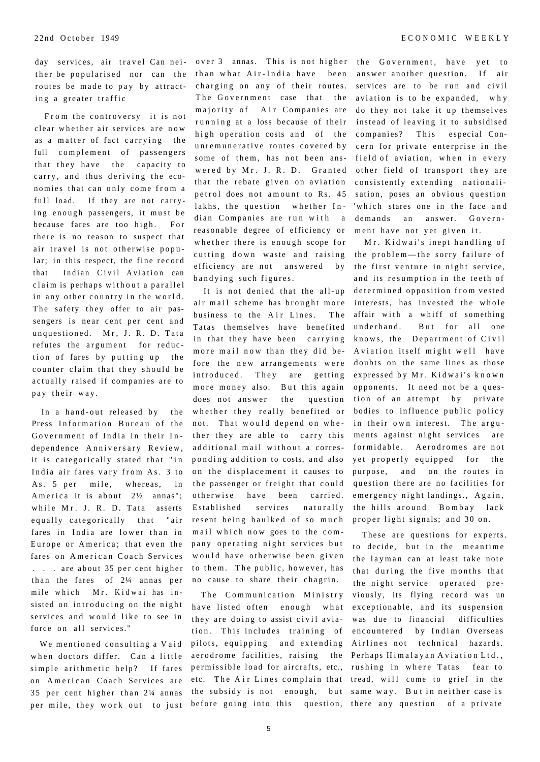ther be popularised nor can the routes be made to pay by attracting a greater traffic

From the controversy it is not clear whether air services are now as a matter of fact carrying the full complement of passengers that they have the capacity to carry, and thus deriving the economies that can only come from a full load. If they are not carrying enough passengers, it must be because fares are too high. For there is no reason to suspect that air travel is not otherwise popular; in this respect, the fine record that Indian Civil Aviation can claim is perhaps without a parallel in any other country in the world. The safety they offer to air passengers is near cent per cent and unquestioned. Mr, J. R. D. Tata refutes the argument for reduction of fares by putting up the counter claim that they should be actually raised if companies are to pay their way.

In a hand-out released by the Press Information Bureau of the Government of India in their Independence Anniversary Review, it is categorically stated that "in India air fares vary from As. 3 to As. 5 per mile, whereas, in America it is about  $2\frac{1}{2}$  annas"; while Mr. J. R. D. Tata asserts equally categorically that "air fares in India are lower than in Europe or America; that even the fares on American Coach Services . . . are about 35 per cent higher than the fares of  $2\frac{1}{4}$  annas per mile which Mr. Kidwai has insisted on introducing on the night services and would like to see in force on all services."

We mentioned consulting a Vaid when doctors differ. Can a little simple arithmetic help? If fares on American Coach Services are per mile, they work out to just before going into this question, there any question of a private

day services, air travel Can nei- over 3 annas. This is not higher the Government, have yet to than what Air-India have been charging on any of their routes. The Government case that the majority of Air Companies are running at a loss because of their high operation costs and of the unremunerative routes covered by some of them, has not been answered by Mr. J. R. D. Granted that the rebate given on aviation petrol does not amount to Rs. 45 lakhs, the question whether Indian Companies are run with a reasonable degree of efficiency or whether there is enough scope for cutting down waste and raising efficiency are not answered by bandying such figures.

> It is not denied that the all-up air mail scheme has brought more business to the Air Lines. The Tatas themselves have benefited in that they have been carrying more mail now than they did before the new arrangements were introduced. They are getting more money also. But this again does not answer the question whether they really benefited or not. That would depend on whether they are able to carry this additional mail without a corresponding addition to costs, and also on the displacement it causes to the passenger or freight that could otherwise have been carried. Established services naturally resent being baulked of so much mail which now goes to the company operating night services but would have otherwise been given to them. The public, however, has no cause to share their chagrin.

35 per cent higher than 2¼ annas the subsidy is not enough, but same way. But in neither case is The Communication Ministry have listed often enough what they are doing to assist civil aviation. This includes training of pilots, equipping and extending aerodrome facilities, raising the Perhaps Himalayan Aviation Ltd., permissible load for aircrafts, etc., rushing in where Tatas fear to etc. The Air Lines complain that tread, will come to grief in the

answer another question. If air services are to be run and civil aviation is to be expanded, why do they not take it up themselves instead of leaving it to subsidised companies? This especial Concern for private enterprise in the field of aviation, when in every other field of transport they are consistently extending nationalisation, poses an obvious question 'which stares one in the face and demands an answer. Government have not yet given it.

Mr. Kidwai's inept handling of the problem—the sorry failure of the first venture in night service, and its resumption in the teeth of determined opposition from vested interests, has invested the whole affair with a whiff of something underhand. But for all one knows, the Department of Civil Aviation itself might well have doubts on the same lines as those expressed by Mr. Kidwai's known opponents. It need not be a question of an attempt by private bodies to influence public policy in their own interest. The arguments against night services are formidable. Aerodromes are not yet properly equipped for the purpose, and on the routes in question there are no facilities for emergency night landings., Again, the hills around Bombay lack proper light signals; and 30 on.

These are questions for experts. to decide, but in the meantime the layman can at least take note that during the five months that the night service operated previously, its flying record was un exceptionable, and its suspension was due to financial difficulties encountered by Indian Overseas Airlines not technical hazards.